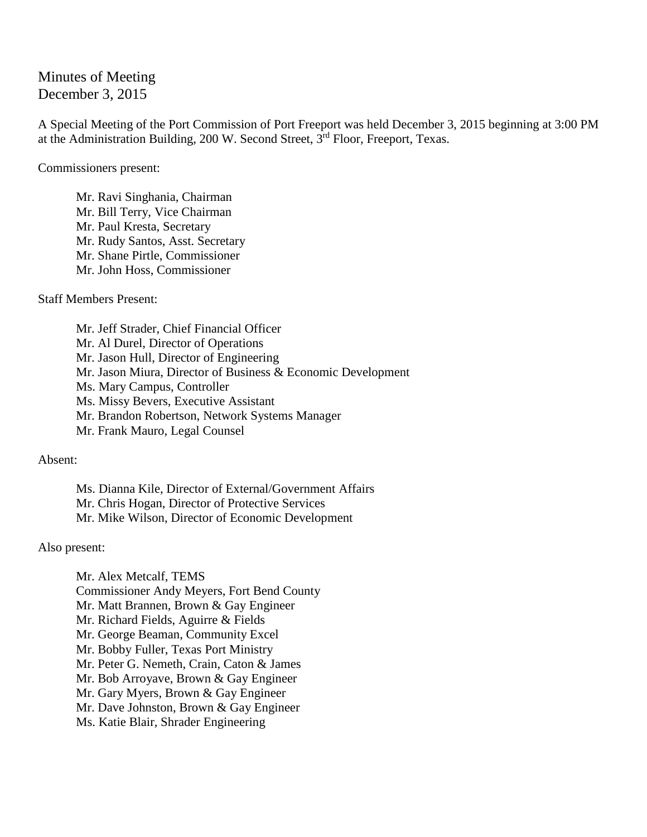Minutes of Meeting December 3, 2015

A Special Meeting of the Port Commission of Port Freeport was held December 3, 2015 beginning at 3:00 PM at the Administration Building, 200 W. Second Street, 3rd Floor, Freeport, Texas.

Commissioners present:

Mr. Ravi Singhania, Chairman Mr. Bill Terry, Vice Chairman Mr. Paul Kresta, Secretary Mr. Rudy Santos, Asst. Secretary Mr. Shane Pirtle, Commissioner Mr. John Hoss, Commissioner

Staff Members Present:

Mr. Jeff Strader, Chief Financial Officer Mr. Al Durel, Director of Operations Mr. Jason Hull, Director of Engineering Mr. Jason Miura, Director of Business & Economic Development Ms. Mary Campus, Controller Ms. Missy Bevers, Executive Assistant Mr. Brandon Robertson, Network Systems Manager Mr. Frank Mauro, Legal Counsel

Absent:

Ms. Dianna Kile, Director of External/Government Affairs Mr. Chris Hogan, Director of Protective Services Mr. Mike Wilson, Director of Economic Development

Also present:

Mr. Alex Metcalf, TEMS Commissioner Andy Meyers, Fort Bend County Mr. Matt Brannen, Brown & Gay Engineer Mr. Richard Fields, Aguirre & Fields Mr. George Beaman, Community Excel Mr. Bobby Fuller, Texas Port Ministry Mr. Peter G. Nemeth, Crain, Caton & James Mr. Bob Arroyave, Brown & Gay Engineer Mr. Gary Myers, Brown & Gay Engineer Mr. Dave Johnston, Brown & Gay Engineer Ms. Katie Blair, Shrader Engineering